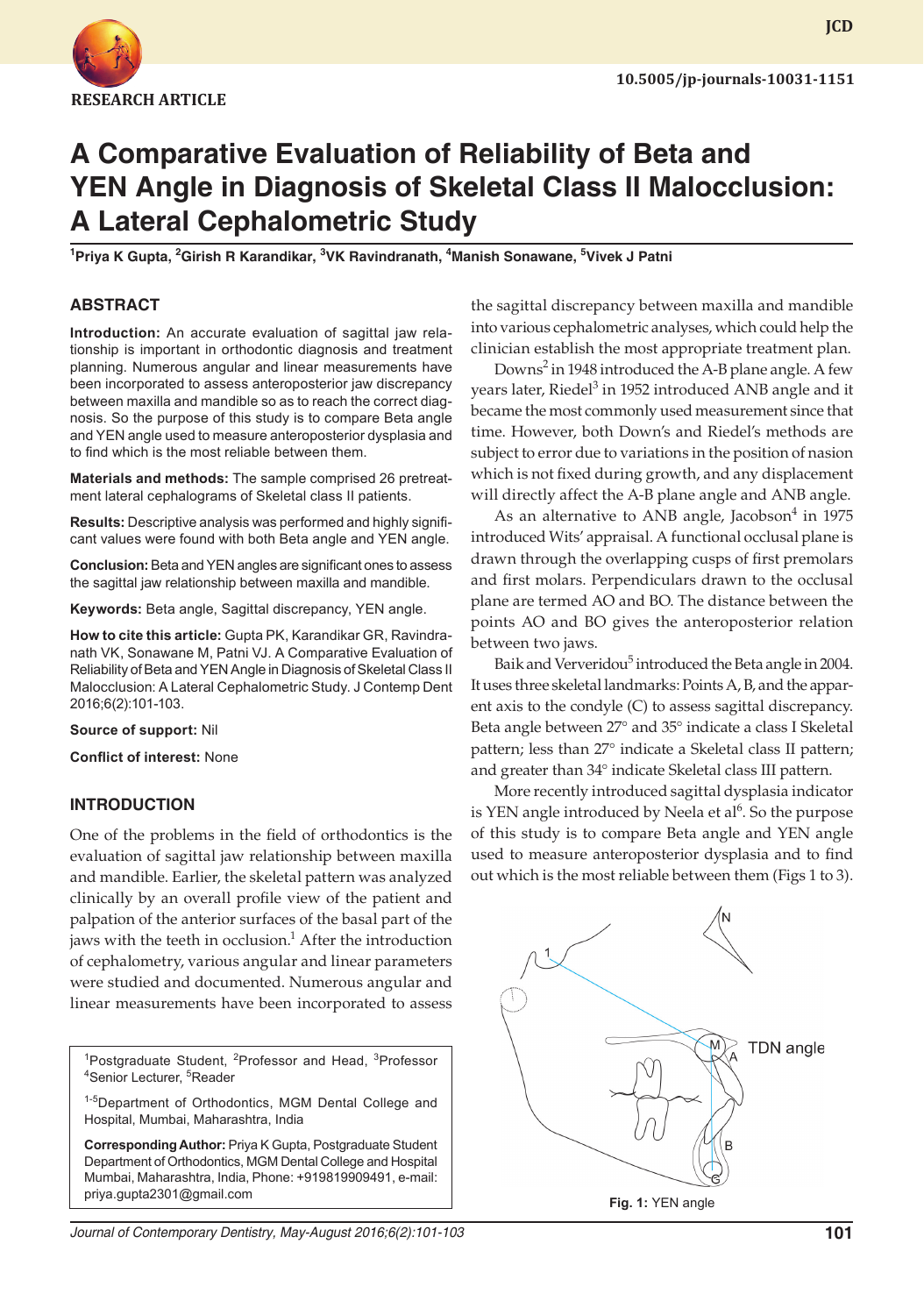

# **A Comparative Evaluation of Reliability of Beta and YEN Angle in Diagnosis of Skeletal Class II Malocclusion: A Lateral Cephalometric Study**

**1 Priya K Gupta, 2 Girish R Karandikar, 3 VK Ravindranath, 4 Manish Sonawane, 5 Vivek J Patni**

# **ABSTRACT**

**Introduction:** An accurate evaluation of sagittal jaw relationship is important in orthodontic diagnosis and treatment planning. Numerous angular and linear measurements have been incorporated to assess anteroposterior jaw discrepancy between maxilla and mandible so as to reach the correct diagnosis. So the purpose of this study is to compare Beta angle and YEN angle used to measure anteroposterior dysplasia and to find which is the most reliable between them.

**Materials and methods:** The sample comprised 26 pretreatment lateral cephalograms of Skeletal class II patients.

**Results:** Descriptive analysis was performed and highly significant values were found with both Beta angle and YEN angle.

**Conclusion:** Beta and YEN angles are significant ones to assess the sagittal jaw relationship between maxilla and mandible.

**Keywords:** Beta angle, Sagittal discrepancy, YEN angle.

**How to cite this article:** Gupta PK, Karandikar GR, Ravindranath VK, Sonawane M, Patni VJ. A Comparative Evaluation of Reliability of Beta and YEN Angle in Diagnosis of Skeletal Class II Malocclusion: A Lateral Cephalometric Study. J Contemp Dent 2016;6(2):101-103.

**Source of support:** Nil

**Conflict of interest:** None

# **INTRODUCTION**

One of the problems in the field of orthodontics is the evaluation of sagittal jaw relationship between maxilla and mandible. Earlier, the skeletal pattern was analyzed clinically by an overall profile view of the patient and palpation of the anterior surfaces of the basal part of the jaws with the teeth in occlusion.<sup>1</sup> After the introduction of cephalometry, various angular and linear parameters were studied and documented. Numerous angular and linear measurements have been incorporated to assess

<sup>1</sup>Postgraduate Student, <sup>2</sup>Professor and Head, <sup>3</sup>Professor Senior Lecturer, <sup>5</sup>Reader

1-5Department of Orthodontics, MGM Dental College and Hospital, Mumbai, Maharashtra, India

**Corresponding Author:** Priya K Gupta, Postgraduate Student Department of Orthodontics, MGM Dental College and Hospital Mumbai, Maharashtra, India, Phone: +919819909491, e-mail: priya.gupta2301@gmail.com

the sagittal discrepancy between maxilla and mandible into various cephalometric analyses, which could help the clinician establish the most appropriate treatment plan.

Downs<sup>2</sup> in 1948 introduced the A-B plane angle. A few years later, Riedel<sup>3</sup> in 1952 introduced ANB angle and it became the most commonly used measurement since that time. However, both Down's and Riedel's methods are subject to error due to variations in the position of nasion which is not fixed during growth, and any displacement will directly affect the A-B plane angle and ANB angle.

As an alternative to ANB angle, Jacobson<sup>4</sup> in 1975 introduced Wits' appraisal. A functional occlusal plane is drawn through the overlapping cusps of first premolars and first molars. Perpendiculars drawn to the occlusal plane are termed AO and BO. The distance between the points AO and BO gives the anteroposterior relation between two jaws.

Baik and Ververidou<sup>5</sup> introduced the Beta angle in 2004. It uses three skeletal landmarks: Points A, B, and the apparent axis to the condyle (C) to assess sagittal discrepancy. Beta angle between 27° and 35° indicate a class I Skeletal pattern; less than 27° indicate a Skeletal class II pattern; and greater than 34° indicate Skeletal class III pattern.

More recently introduced sagittal dysplasia indicator is YEN angle introduced by Neela et al<sup>6</sup>. So the purpose of this study is to compare Beta angle and YEN angle used to measure anteroposterior dysplasia and to find out which is the most reliable between them (Figs 1 to 3).



**Fig. 1:** YEN angle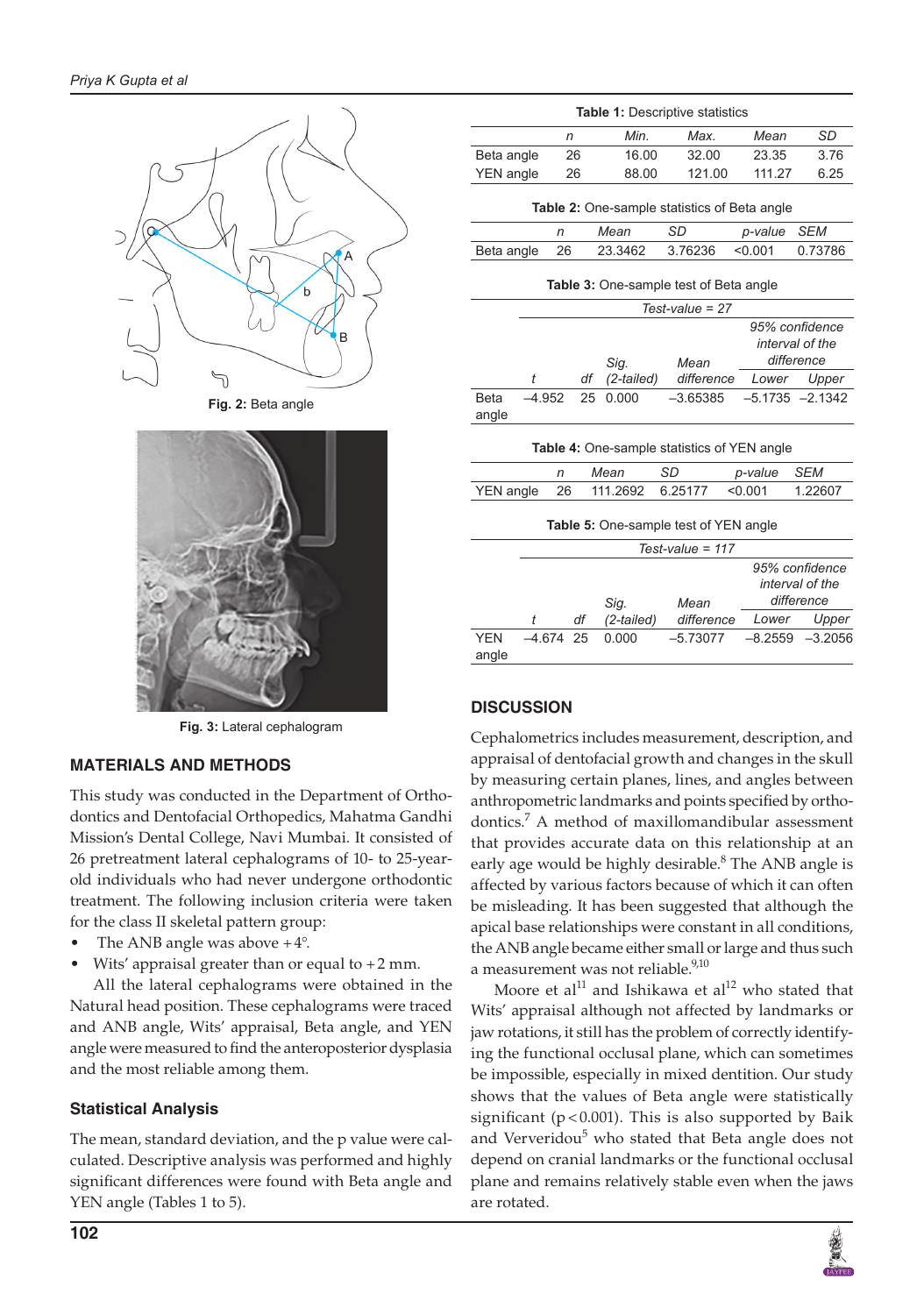

**Fig. 2:** Beta angle



**Fig. 3:** Lateral cephalogram

#### **MATERIALS AND METHODS**

This study was conducted in the Department of Orthodontics and Dentofacial Orthopedics, Mahatma Gandhi Mission's Dental College, Navi Mumbai. It consisted of 26 pretreatment lateral cephalograms of 10- to 25-yearold individuals who had never undergone orthodontic treatment. The following inclusion criteria were taken for the class II skeletal pattern group:

- The ANB angle was above  $+4^{\circ}$ .
- Wits' appraisal greater than or equal to  $+2$  mm.

All the lateral cephalograms were obtained in the Natural head position. These cephalograms were traced and ANB angle, Wits' appraisal, Beta angle, and YEN angle were measured to find the anteroposterior dysplasia and the most reliable among them.

# **Statistical Analysis**

The mean, standard deviation, and the p value were calculated. Descriptive analysis was performed and highly significant differences were found with Beta angle and YEN angle (Tables 1 to 5).

| <b>Table 1: Descriptive statistics</b>             |                    |      |            |            |         |                                                 |  |
|----------------------------------------------------|--------------------|------|------------|------------|---------|-------------------------------------------------|--|
|                                                    |                    | n    | Min.       | Max.       | Mean    | <b>SD</b>                                       |  |
| Beta angle                                         |                    | 26   | 16.00      | 32.00      | 23.35   | 3.76                                            |  |
| <b>YEN</b> angle                                   |                    | 26   | 88.00      | 121.00     | 111.27  | 6.25                                            |  |
| Table 2: One-sample statistics of Beta angle       |                    |      |            |            |         |                                                 |  |
|                                                    | n                  |      | Mean       | SD         | p-value | <b>SEM</b>                                      |  |
| Beta angle                                         |                    | 26   | 23.3462    | 3.76236    | < 0.001 | 0.73786                                         |  |
| <b>Table 3:</b> One-sample test of Beta angle      |                    |      |            |            |         |                                                 |  |
|                                                    | $Test-value = 27$  |      |            |            |         |                                                 |  |
|                                                    |                    |      | Sig.       | Mean       |         | 95% confidence<br>interval of the<br>difference |  |
|                                                    | t                  | df   | (2-tailed) | difference | Lower   | Upper                                           |  |
| <b>Beta</b><br>angle                               | $-4.952$           | 25   | 0.000      | $-3.65385$ |         | $-5.1735 -2.1342$                               |  |
| <b>Table 4:</b> One-sample statistics of YEN angle |                    |      |            |            |         |                                                 |  |
|                                                    | n                  |      | Mean       | <b>SD</b>  | p-value | <b>SEM</b>                                      |  |
| <b>YEN</b> angle                                   |                    | 26   | 111.2692   | 6.25177    | < 0.001 | 1.22607                                         |  |
| <b>Table 5:</b> One-sample test of YEN angle       |                    |      |            |            |         |                                                 |  |
|                                                    | Test-value = $117$ |      |            |            |         |                                                 |  |
|                                                    |                    | Sig. |            | Mean       |         | 95% confidence<br>interval of the<br>difference |  |
|                                                    | t                  | df   | (2-tailed) | difference | Lower   | Upper                                           |  |
| <b>YEN</b><br>angle                                | $-4.674$           | 25   | 0.000      | $-5.73077$ | 8.2559  | $-3.2056$                                       |  |

# **DISCUSSION**

Cephalometrics includes measurement, description, and appraisal of dentofacial growth and changes in the skull by measuring certain planes, lines, and angles between anthropometric landmarks and points specified by orthodontics.7 A method of maxillomandibular assessment that provides accurate data on this relationship at an early age would be highly desirable.<sup>8</sup> The ANB angle is affected by various factors because of which it can often be misleading. It has been suggested that although the apical base relationships were constant in all conditions, the ANB angle became either small or large and thus such a measurement was not reliable.<sup>9,10</sup>

Moore et al<sup>11</sup> and Ishikawa et al<sup>12</sup> who stated that Wits' appraisal although not affected by landmarks or jaw rotations, it still has the problem of correctly identifying the functional occlusal plane, which can sometimes be impossible, especially in mixed dentition. Our study shows that the values of Beta angle were statistically significant ( $p < 0.001$ ). This is also supported by Baik and Ververidou<sup>5</sup> who stated that Beta angle does not depend on cranial landmarks or the functional occlusal plane and remains relatively stable even when the jaws are rotated.